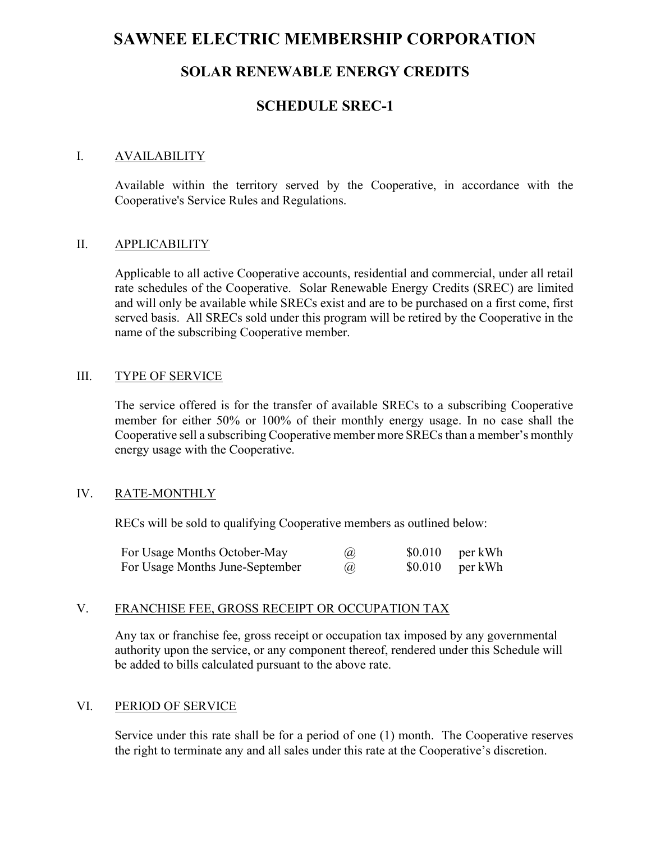# SAWNEE ELECTRIC MEMBERSHIP CORPORATION

# SOLAR RENEWABLE ENERGY CREDITS

# SCHEDULE SREC-1

#### I. AVAILABILITY

Available within the territory served by the Cooperative, in accordance with the Cooperative's Service Rules and Regulations.

#### II. APPLICABILITY

Applicable to all active Cooperative accounts, residential and commercial, under all retail rate schedules of the Cooperative. Solar Renewable Energy Credits (SREC) are limited and will only be available while SRECs exist and are to be purchased on a first come, first served basis. All SRECs sold under this program will be retired by the Cooperative in the name of the subscribing Cooperative member.

### III. TYPE OF SERVICE

The service offered is for the transfer of available SRECs to a subscribing Cooperative member for either 50% or 100% of their monthly energy usage. In no case shall the Cooperative sell a subscribing Cooperative member more SRECs than a member's monthly energy usage with the Cooperative.

### IV. RATE-MONTHLY

RECs will be sold to qualifying Cooperative members as outlined below:

| For Usage Months October-May    | $\left(\widehat{a}\right)$ | $$0.010$ per kWh |
|---------------------------------|----------------------------|------------------|
| For Usage Months June-September | $\left(\widehat{a}\right)$ | $$0.010$ per kWh |

#### V. FRANCHISE FEE, GROSS RECEIPT OR OCCUPATION TAX

Any tax or franchise fee, gross receipt or occupation tax imposed by any governmental authority upon the service, or any component thereof, rendered under this Schedule will be added to bills calculated pursuant to the above rate.

### VI. PERIOD OF SERVICE

Service under this rate shall be for a period of one (1) month. The Cooperative reserves the right to terminate any and all sales under this rate at the Cooperative's discretion.